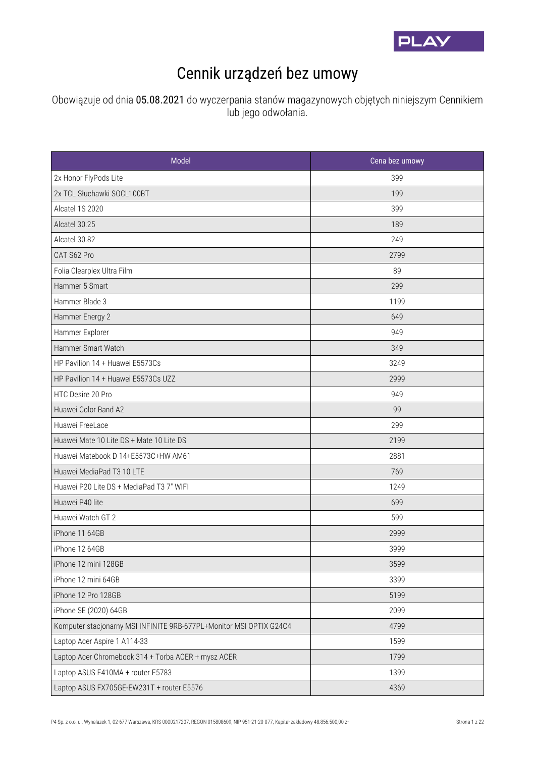

## Cennik urządzeń bez umowy

Obowiązuje od dnia 05.08.2021 do wyczerpania stanów magazynowych objętych niniejszym Cennikiem lub jego odwołania.

| Model                                                               | Cena bez umowy |
|---------------------------------------------------------------------|----------------|
| 2x Honor FlyPods Lite                                               | 399            |
| 2x TCL Słuchawki SOCL100BT                                          | 199            |
| Alcatel 1S 2020                                                     | 399            |
| Alcatel 30.25                                                       | 189            |
| Alcatel 30.82                                                       | 249            |
| CAT S62 Pro                                                         | 2799           |
| Folia Clearplex Ultra Film                                          | 89             |
| Hammer 5 Smart                                                      | 299            |
| Hammer Blade 3                                                      | 1199           |
| Hammer Energy 2                                                     | 649            |
| Hammer Explorer                                                     | 949            |
| Hammer Smart Watch                                                  | 349            |
| HP Pavilion 14 + Huawei E5573Cs                                     | 3249           |
| HP Pavilion 14 + Huawei E5573Cs UZZ                                 | 2999           |
| HTC Desire 20 Pro                                                   | 949            |
| Huawei Color Band A2                                                | 99             |
| Huawei FreeLace                                                     | 299            |
| Huawei Mate 10 Lite DS + Mate 10 Lite DS                            | 2199           |
| Huawei Matebook D 14+E5573C+HW AM61                                 | 2881           |
| Huawei MediaPad T3 10 LTE                                           | 769            |
| Huawei P20 Lite DS + MediaPad T3 7" WIFI                            | 1249           |
| Huawei P40 lite                                                     | 699            |
| Huawei Watch GT 2                                                   | 599            |
| iPhone 11 64GB                                                      | 2999           |
| iPhone 12 64GB                                                      | 3999           |
| iPhone 12 mini 128GB                                                | 3599           |
| iPhone 12 mini 64GB                                                 | 3399           |
| iPhone 12 Pro 128GB                                                 | 5199           |
| iPhone SE (2020) 64GB                                               | 2099           |
| Komputer stacjonarny MSI INFINITE 9RB-677PL+Monitor MSI OPTIX G24C4 | 4799           |
| Laptop Acer Aspire 1 A114-33                                        | 1599           |
| Laptop Acer Chromebook 314 + Torba ACER + mysz ACER                 | 1799           |
| Laptop ASUS E410MA + router E5783                                   | 1399           |
| Laptop ASUS FX705GE-EW231T + router E5576                           | 4369           |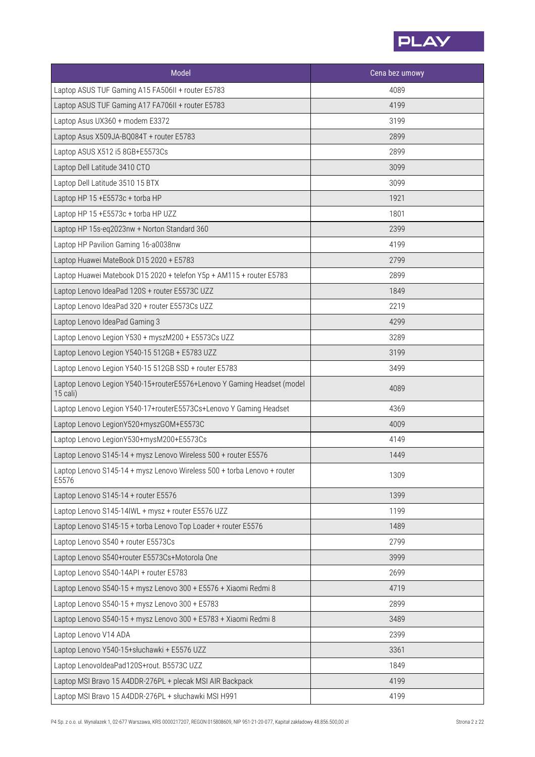

| Model                                                                               | Cena bez umowy |
|-------------------------------------------------------------------------------------|----------------|
| Laptop ASUS TUF Gaming A15 FA506II + router E5783                                   | 4089           |
| Laptop ASUS TUF Gaming A17 FA706II + router E5783                                   | 4199           |
| Laptop Asus UX360 + modem E3372                                                     | 3199           |
| Laptop Asus X509JA-BQ084T + router E5783                                            | 2899           |
| Laptop ASUS X512 i5 8GB+E5573Cs                                                     | 2899           |
| Laptop Dell Latitude 3410 CTO                                                       | 3099           |
| Laptop Dell Latitude 3510 15 BTX                                                    | 3099           |
| Laptop HP 15 +E5573c + torba HP                                                     | 1921           |
| Laptop HP 15 +E5573c + torba HP UZZ                                                 | 1801           |
| Laptop HP 15s-eq2023nw + Norton Standard 360                                        | 2399           |
| Laptop HP Pavilion Gaming 16-a0038nw                                                | 4199           |
| Laptop Huawei MateBook D15 2020 + E5783                                             | 2799           |
| Laptop Huawei Matebook D15 2020 + telefon Y5p + AM115 + router E5783                | 2899           |
| Laptop Lenovo IdeaPad 120S + router E5573C UZZ                                      | 1849           |
| Laptop Lenovo IdeaPad 320 + router E5573Cs UZZ                                      | 2219           |
| Laptop Lenovo IdeaPad Gaming 3                                                      | 4299           |
| Laptop Lenovo Legion Y530 + myszM200 + E5573Cs UZZ                                  | 3289           |
| Laptop Lenovo Legion Y540-15 512GB + E5783 UZZ                                      | 3199           |
| Laptop Lenovo Legion Y540-15 512GB SSD + router E5783                               | 3499           |
| Laptop Lenovo Legion Y540-15+routerE5576+Lenovo Y Gaming Headset (model<br>15 cali) | 4089           |
| Laptop Lenovo Legion Y540-17+routerE5573Cs+Lenovo Y Gaming Headset                  | 4369           |
| Laptop Lenovo LegionY520+myszGOM+E5573C                                             | 4009           |
| Laptop Lenovo LegionY530+mysM200+E5573Cs                                            | 4149           |
| Laptop Lenovo S145-14 + mysz Lenovo Wireless 500 + router E5576                     | 1449           |
| Laptop Lenovo S145-14 + mysz Lenovo Wireless 500 + torba Lenovo + router<br>E5576   | 1309           |
| Laptop Lenovo S145-14 + router E5576                                                | 1399           |
| Laptop Lenovo S145-14IWL + mysz + router E5576 UZZ                                  | 1199           |
| Laptop Lenovo S145-15 + torba Lenovo Top Loader + router E5576                      | 1489           |
| Laptop Lenovo S540 + router E5573Cs                                                 | 2799           |
| Laptop Lenovo S540+router E5573Cs+Motorola One                                      | 3999           |
| Laptop Lenovo S540-14API + router E5783                                             | 2699           |
| Laptop Lenovo S540-15 + mysz Lenovo 300 + E5576 + Xiaomi Redmi 8                    | 4719           |
| Laptop Lenovo S540-15 + mysz Lenovo 300 + E5783                                     | 2899           |
| Laptop Lenovo S540-15 + mysz Lenovo 300 + E5783 + Xiaomi Redmi 8                    | 3489           |
| Laptop Lenovo V14 ADA                                                               | 2399           |
| Laptop Lenovo Y540-15+słuchawki + E5576 UZZ                                         | 3361           |
| Laptop LenovoldeaPad120S+rout. B5573C UZZ                                           | 1849           |
| Laptop MSI Bravo 15 A4DDR-276PL + plecak MSI AIR Backpack                           | 4199           |
| Laptop MSI Bravo 15 A4DDR-276PL + słuchawki MSI H991                                | 4199           |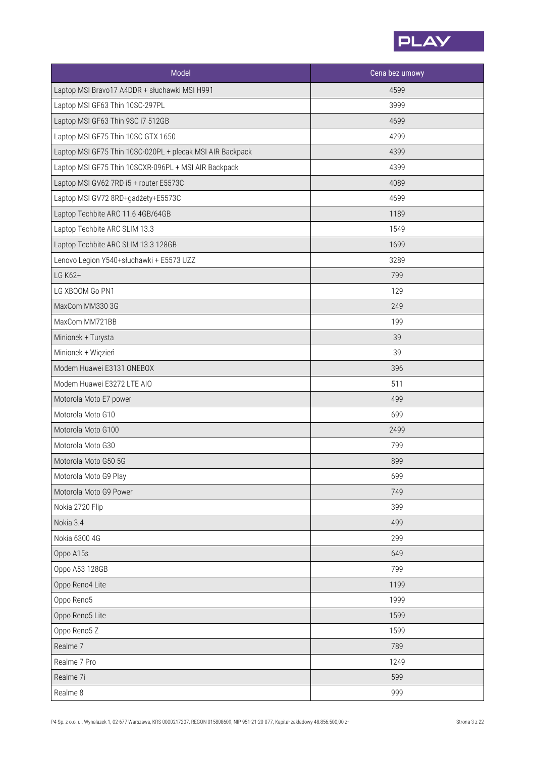

| Model                                                     | Cena bez umowy |
|-----------------------------------------------------------|----------------|
| Laptop MSI Bravo17 A4DDR + słuchawki MSI H991             | 4599           |
| Laptop MSI GF63 Thin 10SC-297PL                           | 3999           |
| Laptop MSI GF63 Thin 9SC i7 512GB                         | 4699           |
| Laptop MSI GF75 Thin 10SC GTX 1650                        | 4299           |
| Laptop MSI GF75 Thin 10SC-020PL + plecak MSI AIR Backpack | 4399           |
| Laptop MSI GF75 Thin 10SCXR-096PL + MSI AIR Backpack      | 4399           |
| Laptop MSI GV62 7RD i5 + router E5573C                    | 4089           |
| Laptop MSI GV72 8RD+gadżety+E5573C                        | 4699           |
| Laptop Techbite ARC 11.6 4GB/64GB                         | 1189           |
| Laptop Techbite ARC SLIM 13.3                             | 1549           |
| Laptop Techbite ARC SLIM 13.3 128GB                       | 1699           |
| Lenovo Legion Y540+słuchawki + E5573 UZZ                  | 3289           |
| LG K62+                                                   | 799            |
| LG XBOOM Go PN1                                           | 129            |
| MaxCom MM330 3G                                           | 249            |
| MaxCom MM721BB                                            | 199            |
| Minionek + Turysta                                        | 39             |
| Minionek + Więzień                                        | 39             |
| Modem Huawei E3131 ONEBOX                                 | 396            |
| Modem Huawei E3272 LTE AIO                                | 511            |
| Motorola Moto E7 power                                    | 499            |
| Motorola Moto G10                                         | 699            |
| Motorola Moto G100                                        | 2499           |
| Motorola Moto G30                                         | 799            |
| Motorola Moto G50 5G                                      | 899            |
| Motorola Moto G9 Play                                     | 699            |
| Motorola Moto G9 Power                                    | 749            |
| Nokia 2720 Flip                                           | 399            |
| Nokia 3.4                                                 | 499            |
| Nokia 6300 4G                                             | 299            |
| Oppo A15s                                                 | 649            |
| Oppo A53 128GB                                            | 799            |
| Oppo Reno4 Lite                                           | 1199           |
| Oppo Reno5                                                | 1999           |
| Oppo Reno5 Lite                                           | 1599           |
| Oppo Reno5 Z                                              | 1599           |
| Realme <sub>7</sub>                                       | 789            |
| Realme 7 Pro                                              | 1249           |
| Realme 7i                                                 | 599            |
| Realme 8                                                  | 999            |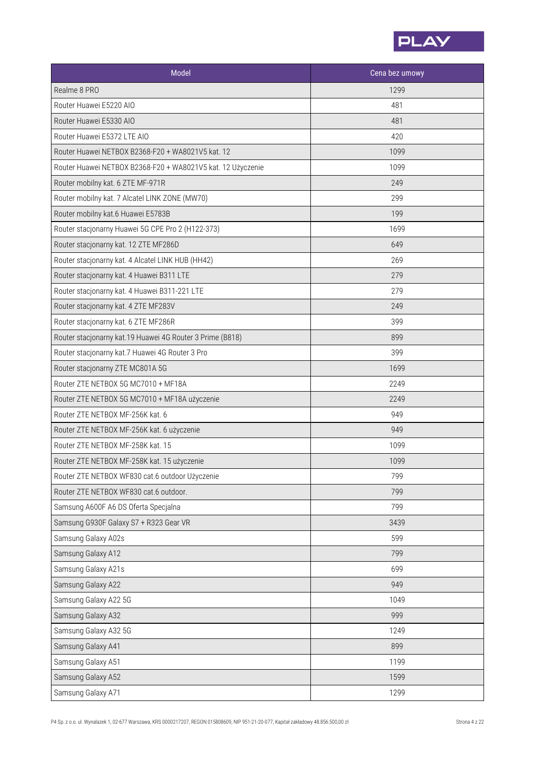

| Model                                                       | Cena bez umowy |
|-------------------------------------------------------------|----------------|
| Realme 8 PRO                                                | 1299           |
| Router Huawei E5220 AIO                                     | 481            |
| Router Huawei E5330 AIO                                     | 481            |
| Router Huawei E5372 LTE AIO                                 | 420            |
| Router Huawei NETBOX B2368-F20 + WA8021V5 kat. 12           | 1099           |
| Router Huawei NETBOX B2368-F20 + WA8021V5 kat. 12 Użyczenie | 1099           |
| Router mobilny kat. 6 ZTE MF-971R                           | 249            |
| Router mobilny kat. 7 Alcatel LINK ZONE (MW70)              | 299            |
| Router mobilny kat.6 Huawei E5783B                          | 199            |
| Router stacjonarny Huawei 5G CPE Pro 2 (H122-373)           | 1699           |
| Router stacjonarny kat. 12 ZTE MF286D                       | 649            |
| Router stacjonarny kat. 4 Alcatel LINK HUB (HH42)           | 269            |
| Router stacjonarny kat. 4 Huawei B311 LTE                   | 279            |
| Router stacjonarny kat. 4 Huawei B311-221 LTE               | 279            |
| Router stacjonarny kat. 4 ZTE MF283V                        | 249            |
| Router stacjonarny kat. 6 ZTE MF286R                        | 399            |
| Router stacjonarny kat.19 Huawei 4G Router 3 Prime (B818)   | 899            |
| Router stacjonarny kat.7 Huawei 4G Router 3 Pro             | 399            |
| Router stacjonarny ZTE MC801A 5G                            | 1699           |
| Router ZTE NETBOX 5G MC7010 + MF18A                         | 2249           |
| Router ZTE NETBOX 5G MC7010 + MF18A użyczenie               | 2249           |
| Router ZTE NETBOX MF-256K kat. 6                            | 949            |
| Router ZTE NETBOX MF-256K kat. 6 użyczenie                  | 949            |
| Router ZTE NETBOX MF-258K kat. 15                           | 1099           |
| Router ZTE NETBOX MF-258K kat. 15 użyczenie                 | 1099           |
| Router ZTE NETBOX WF830 cat.6 outdoor Użyczenie             | 799            |
| Router ZTE NETBOX WF830 cat.6 outdoor.                      | 799            |
| Samsung A600F A6 DS Oferta Specjalna                        | 799            |
| Samsung G930F Galaxy S7 + R323 Gear VR                      | 3439           |
| Samsung Galaxy A02s                                         | 599            |
| Samsung Galaxy A12                                          | 799            |
| Samsung Galaxy A21s                                         | 699            |
| Samsung Galaxy A22                                          | 949            |
| Samsung Galaxy A22 5G                                       | 1049           |
| Samsung Galaxy A32                                          | 999            |
| Samsung Galaxy A32 5G                                       | 1249           |
| Samsung Galaxy A41                                          | 899            |
| Samsung Galaxy A51                                          | 1199           |
| Samsung Galaxy A52                                          | 1599           |
| Samsung Galaxy A71                                          | 1299           |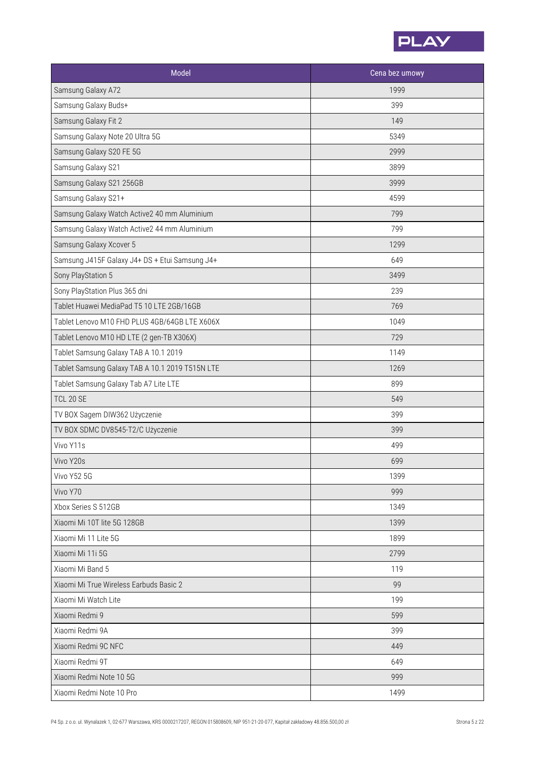

| Model                                           | Cena bez umowy |
|-------------------------------------------------|----------------|
| Samsung Galaxy A72                              | 1999           |
| Samsung Galaxy Buds+                            | 399            |
| Samsung Galaxy Fit 2                            | 149            |
| Samsung Galaxy Note 20 Ultra 5G                 | 5349           |
| Samsung Galaxy S20 FE 5G                        | 2999           |
| Samsung Galaxy S21                              | 3899           |
| Samsung Galaxy S21 256GB                        | 3999           |
| Samsung Galaxy S21+                             | 4599           |
| Samsung Galaxy Watch Active2 40 mm Aluminium    | 799            |
| Samsung Galaxy Watch Active2 44 mm Aluminium    | 799            |
| Samsung Galaxy Xcover 5                         | 1299           |
| Samsung J415F Galaxy J4+ DS + Etui Samsung J4+  | 649            |
| Sony PlayStation 5                              | 3499           |
| Sony PlayStation Plus 365 dni                   | 239            |
| Tablet Huawei MediaPad T5 10 LTE 2GB/16GB       | 769            |
| Tablet Lenovo M10 FHD PLUS 4GB/64GB LTE X606X   | 1049           |
| Tablet Lenovo M10 HD LTE (2 gen-TB X306X)       | 729            |
| Tablet Samsung Galaxy TAB A 10.1 2019           | 1149           |
| Tablet Samsung Galaxy TAB A 10.1 2019 T515N LTE | 1269           |
| Tablet Samsung Galaxy Tab A7 Lite LTE           | 899            |
| <b>TCL 20 SE</b>                                | 549            |
| TV BOX Sagem DIW362 Użyczenie                   | 399            |
| TV BOX SDMC DV8545-T2/C Użyczenie               | 399            |
| Vivo Y11s                                       | 499            |
| Vivo Y20s                                       | 699            |
| Vivo Y52 5G                                     | 1399           |
| Vivo Y70                                        | 999            |
| Xbox Series S 512GB                             | 1349           |
| Xiaomi Mi 10T lite 5G 128GB                     | 1399           |
| Xiaomi Mi 11 Lite 5G                            | 1899           |
| Xiaomi Mi 11i 5G                                | 2799           |
| Xiaomi Mi Band 5                                | 119            |
| Xiaomi Mi True Wireless Earbuds Basic 2         | 99             |
| Xiaomi Mi Watch Lite                            | 199            |
| Xiaomi Redmi 9                                  | 599            |
| Xiaomi Redmi 9A                                 | 399            |
| Xiaomi Redmi 9C NFC                             | 449            |
| Xiaomi Redmi 9T                                 | 649            |
| Xiaomi Redmi Note 10 5G                         | 999            |
| Xiaomi Redmi Note 10 Pro                        | 1499           |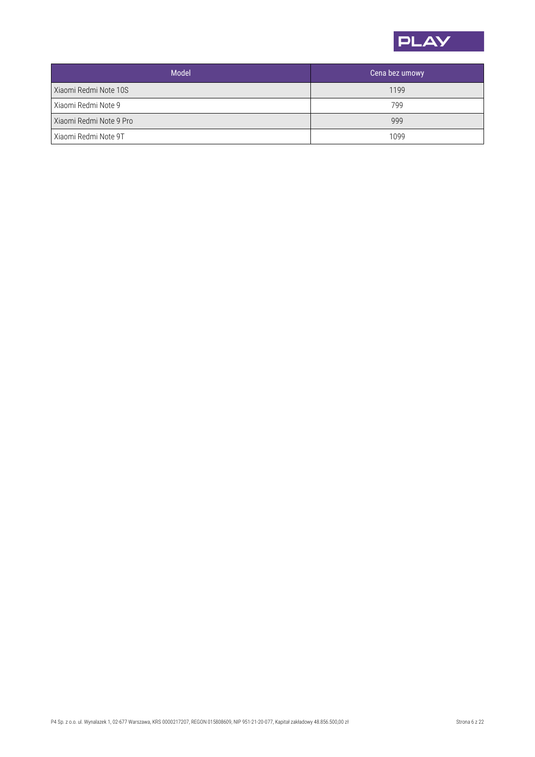

| <b>Model</b>            | Cena bez umowy |
|-------------------------|----------------|
| Xiaomi Redmi Note 10S   | 1199           |
| Xiaomi Redmi Note 9     | 799            |
| Xiaomi Redmi Note 9 Pro | 999            |
| Xiaomi Redmi Note 9T    | 1099           |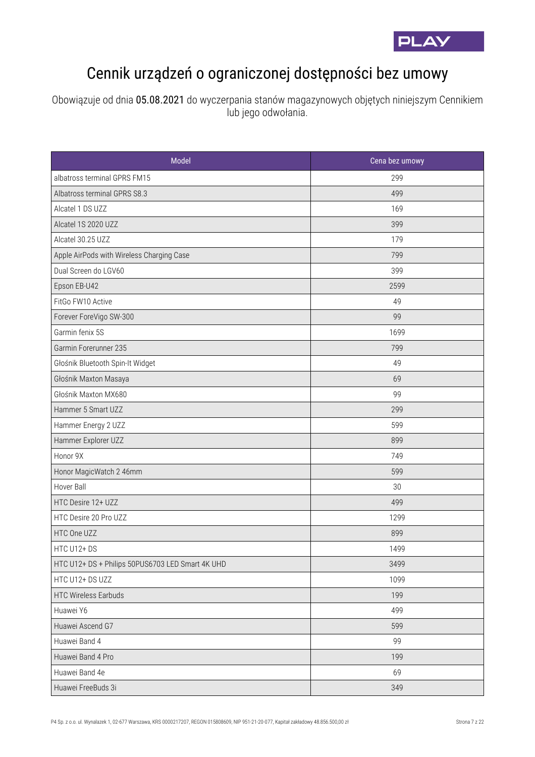

## Cennik urządzeń o ograniczonej dostępności bez umowy

Obowiązuje od dnia 05.08.2021 do wyczerpania stanów magazynowych objętych niniejszym Cennikiem lub jego odwołania.

| Model                                            | Cena bez umowy |
|--------------------------------------------------|----------------|
| albatross terminal GPRS FM15                     | 299            |
| Albatross terminal GPRS S8.3                     | 499            |
| Alcatel 1 DS UZZ                                 | 169            |
| Alcatel 1S 2020 UZZ                              | 399            |
| Alcatel 30.25 UZZ                                | 179            |
| Apple AirPods with Wireless Charging Case        | 799            |
| Dual Screen do LGV60                             | 399            |
| Epson EB-U42                                     | 2599           |
| FitGo FW10 Active                                | 49             |
| Forever ForeVigo SW-300                          | 99             |
| Garmin fenix 5S                                  | 1699           |
| Garmin Forerunner 235                            | 799            |
| Głośnik Bluetooth Spin-It Widget                 | 49             |
| Głośnik Maxton Masaya                            | 69             |
| Głośnik Maxton MX680                             | 99             |
| Hammer 5 Smart UZZ                               | 299            |
| Hammer Energy 2 UZZ                              | 599            |
| Hammer Explorer UZZ                              | 899            |
| Honor 9X                                         | 749            |
| Honor MagicWatch 2 46mm                          | 599            |
| Hover Ball                                       | 30             |
| HTC Desire 12+ UZZ                               | 499            |
| HTC Desire 20 Pro UZZ                            | 1299           |
| HTC One UZZ                                      | 899            |
| HTC U12+DS                                       | 1499           |
| HTC U12+ DS + Philips 50PUS6703 LED Smart 4K UHD | 3499           |
| HTC U12+ DS UZZ                                  | 1099           |
| <b>HTC Wireless Earbuds</b>                      | 199            |
| Huawei Y6                                        | 499            |
| Huawei Ascend G7                                 | 599            |
| Huawei Band 4                                    | 99             |
| Huawei Band 4 Pro                                | 199            |
| Huawei Band 4e                                   | 69             |
| Huawei FreeBuds 3i                               | 349            |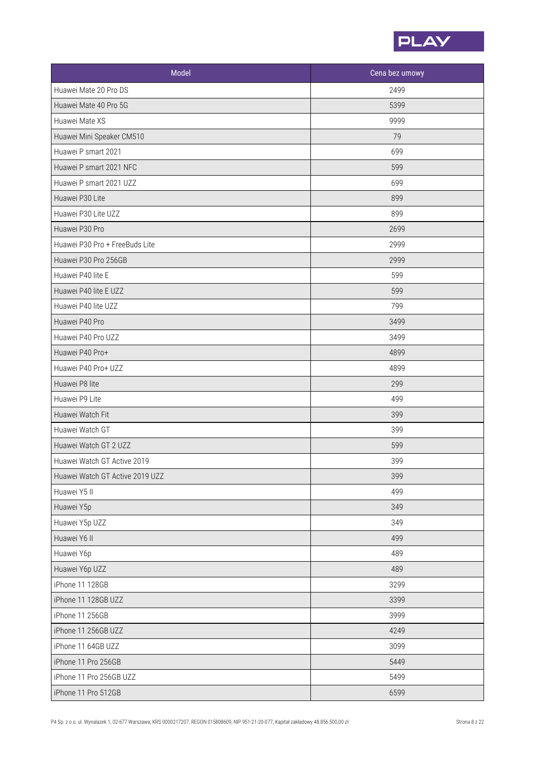

| Model                           | Cena bez umowy |
|---------------------------------|----------------|
| Huawei Mate 20 Pro DS           | 2499           |
| Huawei Mate 40 Pro 5G           | 5399           |
| Huawei Mate XS                  | 9999           |
| Huawei Mini Speaker CM510       | 79             |
| Huawei P smart 2021             | 699            |
| Huawei P smart 2021 NFC         | 599            |
| Huawei P smart 2021 UZZ         | 699            |
| Huawei P30 Lite                 | 899            |
| Huawei P30 Lite UZZ             | 899            |
| Huawei P30 Pro                  | 2699           |
| Huawei P30 Pro + FreeBuds Lite  | 2999           |
| Huawei P30 Pro 256GB            | 2999           |
| Huawei P40 lite E               | 599            |
| Huawei P40 lite E UZZ           | 599            |
| Huawei P40 lite UZZ             | 799            |
| Huawei P40 Pro                  | 3499           |
| Huawei P40 Pro UZZ              | 3499           |
| Huawei P40 Pro+                 | 4899           |
| Huawei P40 Pro+ UZZ             | 4899           |
| Huawei P8 lite                  | 299            |
| Huawei P9 Lite                  | 499            |
| Huawei Watch Fit                | 399            |
| Huawei Watch GT                 | 399            |
| Huawei Watch GT 2 UZZ           | 599            |
| Huawei Watch GT Active 2019     | 399            |
| Huawei Watch GT Active 2019 UZZ | 399            |
| Huawei Y5 II                    | 499            |
| Huawei Y5p                      | 349            |
| Huawei Y5p UZZ                  | 349            |
| Huawei Y6 II                    | 499            |
| Huawei Y6p                      | 489            |
| Huawei Y6p UZZ                  | 489            |
| iPhone 11 128GB                 | 3299           |
| iPhone 11 128GB UZZ             | 3399           |
| iPhone 11 256GB                 | 3999           |
| iPhone 11 256GB UZZ             | 4249           |
| iPhone 11 64GB UZZ              | 3099           |
| iPhone 11 Pro 256GB             | 5449           |
| iPhone 11 Pro 256GB UZZ         | 5499           |
| iPhone 11 Pro 512GB             | 6599           |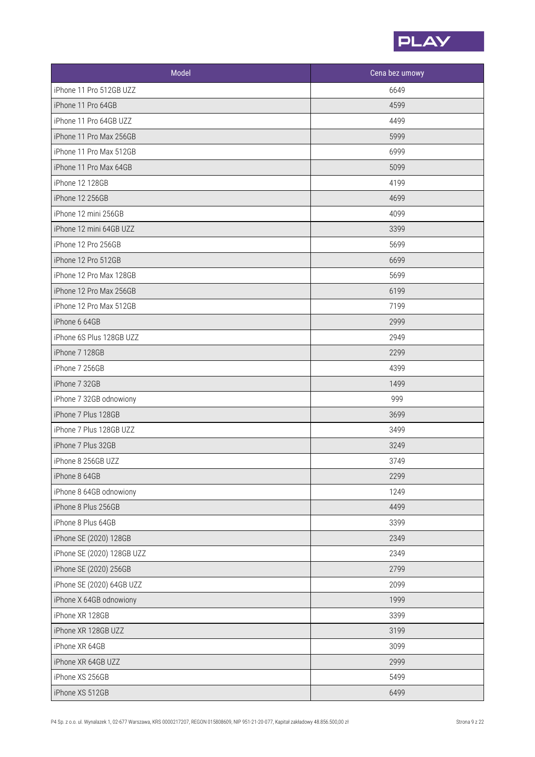

| Model                      | Cena bez umowy |
|----------------------------|----------------|
| iPhone 11 Pro 512GB UZZ    | 6649           |
| iPhone 11 Pro 64GB         | 4599           |
| iPhone 11 Pro 64GB UZZ     | 4499           |
| iPhone 11 Pro Max 256GB    | 5999           |
| iPhone 11 Pro Max 512GB    | 6999           |
| iPhone 11 Pro Max 64GB     | 5099           |
| iPhone 12 128GB            | 4199           |
| iPhone 12 256GB            | 4699           |
| iPhone 12 mini 256GB       | 4099           |
| iPhone 12 mini 64GB UZZ    | 3399           |
| iPhone 12 Pro 256GB        | 5699           |
| iPhone 12 Pro 512GB        | 6699           |
| iPhone 12 Pro Max 128GB    | 5699           |
| iPhone 12 Pro Max 256GB    | 6199           |
| iPhone 12 Pro Max 512GB    | 7199           |
| iPhone 6 64GB              | 2999           |
| iPhone 6S Plus 128GB UZZ   | 2949           |
| iPhone 7 128GB             | 2299           |
| iPhone 7 256GB             | 4399           |
| iPhone 7 32GB              | 1499           |
| iPhone 7 32GB odnowiony    | 999            |
| iPhone 7 Plus 128GB        | 3699           |
| iPhone 7 Plus 128GB UZZ    | 3499           |
| iPhone 7 Plus 32GB         | 3249           |
| iPhone 8 256GB UZZ         | 3749           |
| iPhone 8 64GB              | 2299           |
| iPhone 8 64GB odnowiony    | 1249           |
| iPhone 8 Plus 256GB        | 4499           |
| iPhone 8 Plus 64GB         | 3399           |
| iPhone SE (2020) 128GB     | 2349           |
| iPhone SE (2020) 128GB UZZ | 2349           |
| iPhone SE (2020) 256GB     | 2799           |
| iPhone SE (2020) 64GB UZZ  | 2099           |
| iPhone X 64GB odnowiony    | 1999           |
| iPhone XR 128GB            | 3399           |
| iPhone XR 128GB UZZ        | 3199           |
| iPhone XR 64GB             | 3099           |
| iPhone XR 64GB UZZ         | 2999           |
| iPhone XS 256GB            | 5499           |
| iPhone XS 512GB            | 6499           |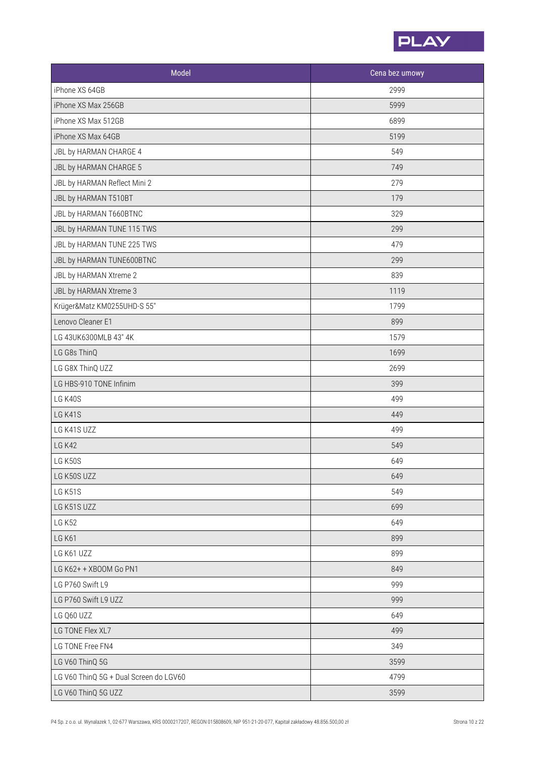

| Model                                  | Cena bez umowy |
|----------------------------------------|----------------|
| iPhone XS 64GB                         | 2999           |
| iPhone XS Max 256GB                    | 5999           |
| iPhone XS Max 512GB                    | 6899           |
| iPhone XS Max 64GB                     | 5199           |
| JBL by HARMAN CHARGE 4                 | 549            |
| JBL by HARMAN CHARGE 5                 | 749            |
| JBL by HARMAN Reflect Mini 2           | 279            |
| JBL by HARMAN T510BT                   | 179            |
| JBL by HARMAN T660BTNC                 | 329            |
| JBL by HARMAN TUNE 115 TWS             | 299            |
| JBL by HARMAN TUNE 225 TWS             | 479            |
| JBL by HARMAN TUNE600BTNC              | 299            |
| JBL by HARMAN Xtreme 2                 | 839            |
| JBL by HARMAN Xtreme 3                 | 1119           |
| Krüger&Matz KM0255UHD-S 55"            | 1799           |
| Lenovo Cleaner E1                      | 899            |
| LG 43UK6300MLB 43" 4K                  | 1579           |
| LG G8s ThinQ                           | 1699           |
| LG G8X ThinQ UZZ                       | 2699           |
| LG HBS-910 TONE Infinim                | 399            |
| LG K40S                                | 499            |
| LG K41S                                | 449            |
| LG K41S UZZ                            | 499            |
| <b>LG K42</b>                          | 549            |
| LG K50S                                | 649            |
| LG K50S UZZ                            | 649            |
| LG K51S                                | 549            |
| LG K51S UZZ                            | 699            |
| <b>LG K52</b>                          | 649            |
| <b>LG K61</b>                          | 899            |
| LG K61 UZZ                             | 899            |
| LG K62+ + XBOOM Go PN1                 | 849            |
| LG P760 Swift L9                       | 999            |
| LG P760 Swift L9 UZZ                   | 999            |
| LG Q60 UZZ                             | 649            |
| LG TONE Flex XL7                       | 499            |
| LG TONE Free FN4                       | 349            |
| LG V60 ThinQ 5G                        | 3599           |
| LG V60 ThinQ 5G + Dual Screen do LGV60 | 4799           |
| LG V60 ThinQ 5G UZZ                    | 3599           |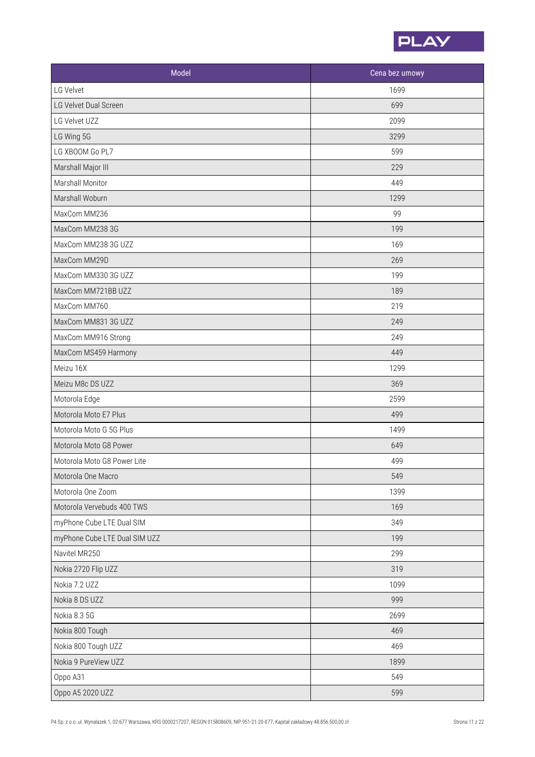

| Model                         | Cena bez umowy |
|-------------------------------|----------------|
| LG Velvet                     | 1699           |
| LG Velvet Dual Screen         | 699            |
| LG Velvet UZZ                 | 2099           |
| LG Wing 5G                    | 3299           |
| LG XBOOM Go PL7               | 599            |
| Marshall Major III            | 229            |
| Marshall Monitor              | 449            |
| Marshall Woburn               | 1299           |
| MaxCom MM236                  | 99             |
| MaxCom MM238 3G               | 199            |
| MaxCom MM238 3G UZZ           | 169            |
| MaxCom MM29D                  | 269            |
| MaxCom MM330 3G UZZ           | 199            |
| MaxCom MM721BB UZZ            | 189            |
| MaxCom MM760                  | 219            |
| MaxCom MM831 3G UZZ           | 249            |
| MaxCom MM916 Strong           | 249            |
| MaxCom MS459 Harmony          | 449            |
| Meizu 16X                     | 1299           |
| Meizu M8c DS UZZ              | 369            |
| Motorola Edge                 | 2599           |
| Motorola Moto E7 Plus         | 499            |
| Motorola Moto G 5G Plus       | 1499           |
| Motorola Moto G8 Power        | 649            |
| Motorola Moto G8 Power Lite   | 499            |
| Motorola One Macro            | 549            |
| Motorola One Zoom             | 1399           |
| Motorola Vervebuds 400 TWS    | 169            |
| myPhone Cube LTE Dual SIM     | 349            |
| myPhone Cube LTE Dual SIM UZZ | 199            |
| Navitel MR250                 | 299            |
| Nokia 2720 Flip UZZ           | 319            |
| Nokia 7.2 UZZ                 | 1099           |
| Nokia 8 DS UZZ                | 999            |
| Nokia 8.3 5G                  | 2699           |
| Nokia 800 Tough               | 469            |
| Nokia 800 Tough UZZ           | 469            |
| Nokia 9 PureView UZZ          | 1899           |
| Oppo A31                      | 549            |
| Oppo A5 2020 UZZ              | 599            |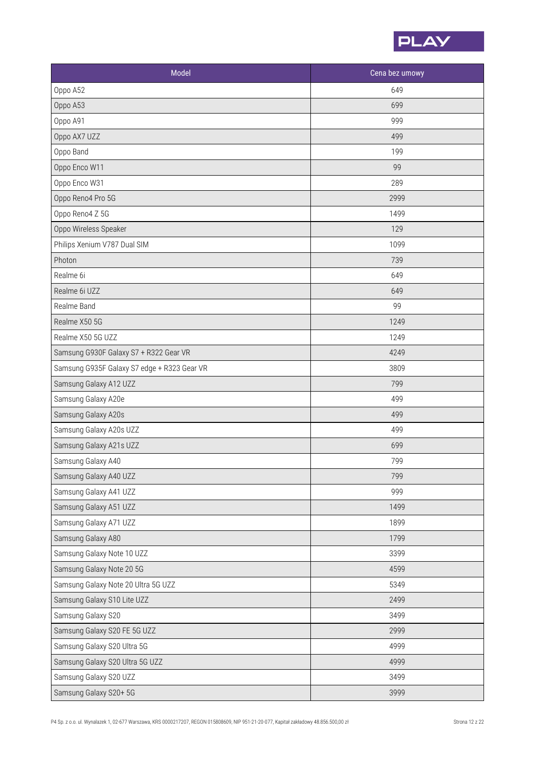

| Model                                       | Cena bez umowy |
|---------------------------------------------|----------------|
| Oppo A52                                    | 649            |
| Oppo A53                                    | 699            |
| Oppo A91                                    | 999            |
| Oppo AX7 UZZ                                | 499            |
| Oppo Band                                   | 199            |
| Oppo Enco W11                               | 99             |
| Oppo Enco W31                               | 289            |
| Oppo Reno4 Pro 5G                           | 2999           |
| Oppo Reno4 Z 5G                             | 1499           |
| Oppo Wireless Speaker                       | 129            |
| Philips Xenium V787 Dual SIM                | 1099           |
| Photon                                      | 739            |
| Realme 6i                                   | 649            |
| Realme 6i UZZ                               | 649            |
| Realme Band                                 | 99             |
| Realme X50 5G                               | 1249           |
| Realme X50 5G UZZ                           | 1249           |
| Samsung G930F Galaxy S7 + R322 Gear VR      | 4249           |
| Samsung G935F Galaxy S7 edge + R323 Gear VR | 3809           |
| Samsung Galaxy A12 UZZ                      | 799            |
| Samsung Galaxy A20e                         | 499            |
| Samsung Galaxy A20s                         | 499            |
| Samsung Galaxy A20s UZZ                     | 499            |
| Samsung Galaxy A21s UZZ                     | 699            |
| Samsung Galaxy A40                          | 799            |
| Samsung Galaxy A40 UZZ                      | 799            |
| Samsung Galaxy A41 UZZ                      | 999            |
| Samsung Galaxy A51 UZZ                      | 1499           |
| Samsung Galaxy A71 UZZ                      | 1899           |
| Samsung Galaxy A80                          | 1799           |
| Samsung Galaxy Note 10 UZZ                  | 3399           |
| Samsung Galaxy Note 20 5G                   | 4599           |
| Samsung Galaxy Note 20 Ultra 5G UZZ         | 5349           |
| Samsung Galaxy S10 Lite UZZ                 | 2499           |
| Samsung Galaxy S20                          | 3499           |
| Samsung Galaxy S20 FE 5G UZZ                | 2999           |
| Samsung Galaxy S20 Ultra 5G                 | 4999           |
| Samsung Galaxy S20 Ultra 5G UZZ             | 4999           |
| Samsung Galaxy S20 UZZ                      | 3499           |
| Samsung Galaxy S20+ 5G                      | 3999           |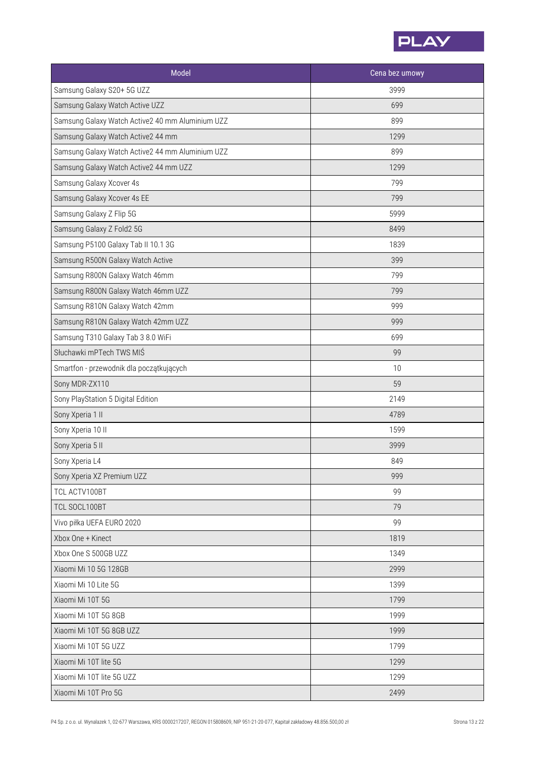

| Model                                            | Cena bez umowy |
|--------------------------------------------------|----------------|
| Samsung Galaxy S20+ 5G UZZ                       | 3999           |
| Samsung Galaxy Watch Active UZZ                  | 699            |
| Samsung Galaxy Watch Active2 40 mm Aluminium UZZ | 899            |
| Samsung Galaxy Watch Active2 44 mm               | 1299           |
| Samsung Galaxy Watch Active2 44 mm Aluminium UZZ | 899            |
| Samsung Galaxy Watch Active2 44 mm UZZ           | 1299           |
| Samsung Galaxy Xcover 4s                         | 799            |
| Samsung Galaxy Xcover 4s EE                      | 799            |
| Samsung Galaxy Z Flip 5G                         | 5999           |
| Samsung Galaxy Z Fold2 5G                        | 8499           |
| Samsung P5100 Galaxy Tab II 10.1 3G              | 1839           |
| Samsung R500N Galaxy Watch Active                | 399            |
| Samsung R800N Galaxy Watch 46mm                  | 799            |
| Samsung R800N Galaxy Watch 46mm UZZ              | 799            |
| Samsung R810N Galaxy Watch 42mm                  | 999            |
| Samsung R810N Galaxy Watch 42mm UZZ              | 999            |
| Samsung T310 Galaxy Tab 3 8.0 WiFi               | 699            |
| Słuchawki mPTech TWS MIŚ                         | 99             |
| Smartfon - przewodnik dla początkujących         | 10             |
| Sony MDR-ZX110                                   | 59             |
| Sony PlayStation 5 Digital Edition               | 2149           |
| Sony Xperia 1 II                                 | 4789           |
| Sony Xperia 10 II                                | 1599           |
| Sony Xperia 5 II                                 | 3999           |
| Sony Xperia L4                                   | 849            |
| Sony Xperia XZ Premium UZZ                       | 999            |
| TCL ACTV100BT                                    | 99             |
| TCL SOCL100BT                                    | 79             |
| Vivo piłka UEFA EURO 2020                        | 99             |
| Xbox One + Kinect                                | 1819           |
| Xbox One S 500GB UZZ                             | 1349           |
| Xiaomi Mi 10 5G 128GB                            | 2999           |
| Xiaomi Mi 10 Lite 5G                             | 1399           |
| Xiaomi Mi 10T 5G                                 | 1799           |
| Xiaomi Mi 10T 5G 8GB                             | 1999           |
| Xiaomi Mi 10T 5G 8GB UZZ                         | 1999           |
| Xiaomi Mi 10T 5G UZZ                             | 1799           |
| Xiaomi Mi 10T lite 5G                            | 1299           |
| Xiaomi Mi 10T lite 5G UZZ                        | 1299           |
| Xiaomi Mi 10T Pro 5G                             | 2499           |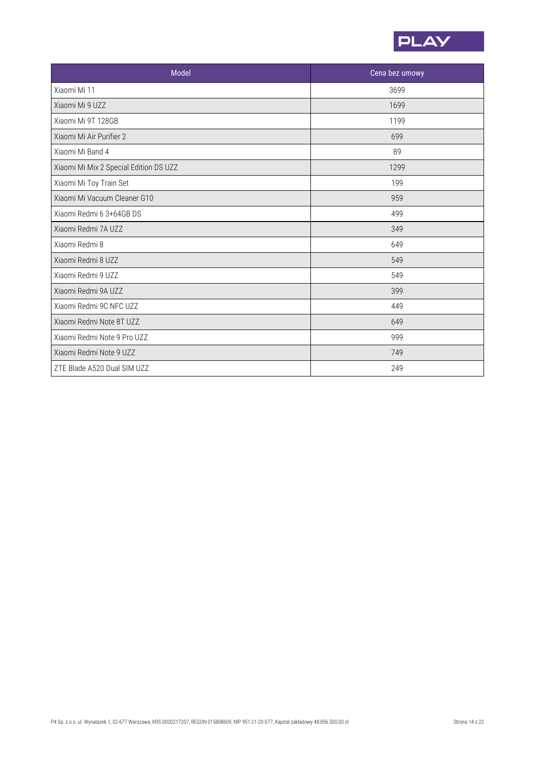

| Model                                  | Cena bez umowy |
|----------------------------------------|----------------|
| Xiaomi Mi 11                           | 3699           |
| Xiaomi Mi 9 UZZ                        | 1699           |
| Xiaomi Mi 9T 128GB                     | 1199           |
| Xiaomi Mi Air Purifier 2               | 699            |
| Xiaomi Mi Band 4                       | 89             |
| Xiaomi Mi Mix 2 Special Edition DS UZZ | 1299           |
| Xiaomi Mi Toy Train Set                | 199            |
| Xiaomi Mi Vacuum Cleaner G10           | 959            |
| Xiaomi Redmi 6 3+64GB DS               | 499            |
| Xiaomi Redmi 7A UZZ                    | 349            |
| Xiaomi Redmi 8                         | 649            |
| Xiaomi Redmi 8 UZZ                     | 549            |
| Xiaomi Redmi 9 UZZ                     | 549            |
| Xiaomi Redmi 9A UZZ                    | 399            |
| Xiaomi Redmi 9C NFC UZZ                | 449            |
| Xiaomi Redmi Note 8T UZZ               | 649            |
| Xiaomi Redmi Note 9 Pro UZZ            | 999            |
| Xiaomi Redmi Note 9 UZZ                | 749            |
| ZTE Blade A520 Dual SIM UZZ            | 249            |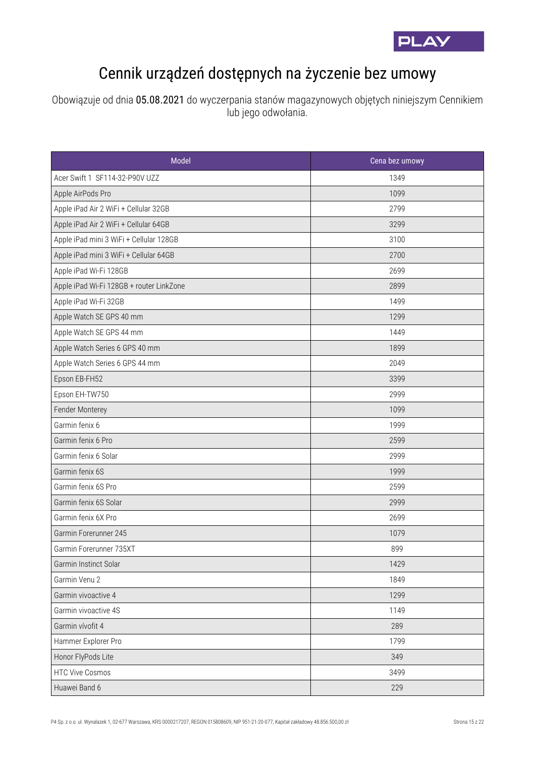

## Cennik urządzeń dostępnych na życzenie bez umowy

Obowiązuje od dnia 05.08.2021 do wyczerpania stanów magazynowych objętych niniejszym Cennikiem lub jego odwołania.

| Model                                    | Cena bez umowy |
|------------------------------------------|----------------|
| Acer Swift 1 SF114-32-P90V UZZ           | 1349           |
| Apple AirPods Pro                        | 1099           |
| Apple iPad Air 2 WiFi + Cellular 32GB    | 2799           |
| Apple iPad Air 2 WiFi + Cellular 64GB    | 3299           |
| Apple iPad mini 3 WiFi + Cellular 128GB  | 3100           |
| Apple iPad mini 3 WiFi + Cellular 64GB   | 2700           |
| Apple iPad Wi-Fi 128GB                   | 2699           |
| Apple iPad Wi-Fi 128GB + router LinkZone | 2899           |
| Apple iPad Wi-Fi 32GB                    | 1499           |
| Apple Watch SE GPS 40 mm                 | 1299           |
| Apple Watch SE GPS 44 mm                 | 1449           |
| Apple Watch Series 6 GPS 40 mm           | 1899           |
| Apple Watch Series 6 GPS 44 mm           | 2049           |
| Epson EB-FH52                            | 3399           |
| Epson EH-TW750                           | 2999           |
| Fender Monterey                          | 1099           |
| Garmin fenix 6                           | 1999           |
| Garmin fenix 6 Pro                       | 2599           |
| Garmin fenix 6 Solar                     | 2999           |
| Garmin fenix 6S                          | 1999           |
| Garmin fenix 6S Pro                      | 2599           |
| Garmin fenix 6S Solar                    | 2999           |
| Garmin fenix 6X Pro                      | 2699           |
| Garmin Forerunner 245                    | 1079           |
| Garmin Forerunner 735XT                  | 899            |
| Garmin Instinct Solar                    | 1429           |
| Garmin Venu 2                            | 1849           |
| Garmin vivoactive 4                      | 1299           |
| Garmin vivoactive 4S                     | 1149           |
| Garmin vívofit 4                         | 289            |
| Hammer Explorer Pro                      | 1799           |
| Honor FlyPods Lite                       | 349            |
| <b>HTC Vive Cosmos</b>                   | 3499           |
| Huawei Band 6                            | 229            |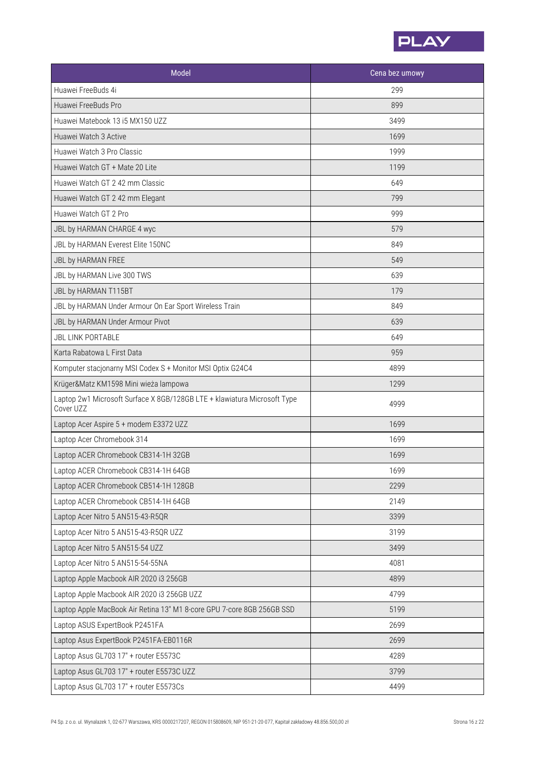

| Model                                                                                 | Cena bez umowy |
|---------------------------------------------------------------------------------------|----------------|
| Huawei FreeBuds 4i                                                                    | 299            |
| Huawei FreeBuds Pro                                                                   | 899            |
| Huawei Matebook 13 i5 MX150 UZZ                                                       | 3499           |
| Huawei Watch 3 Active                                                                 | 1699           |
| Huawei Watch 3 Pro Classic                                                            | 1999           |
| Huawei Watch GT + Mate 20 Lite                                                        | 1199           |
| Huawei Watch GT 2 42 mm Classic                                                       | 649            |
| Huawei Watch GT 2 42 mm Elegant                                                       | 799            |
| Huawei Watch GT 2 Pro                                                                 | 999            |
| JBL by HARMAN CHARGE 4 wyc                                                            | 579            |
| JBL by HARMAN Everest Elite 150NC                                                     | 849            |
| JBL by HARMAN FREE                                                                    | 549            |
| JBL by HARMAN Live 300 TWS                                                            | 639            |
| JBL by HARMAN T115BT                                                                  | 179            |
| JBL by HARMAN Under Armour On Ear Sport Wireless Train                                | 849            |
| JBL by HARMAN Under Armour Pivot                                                      | 639            |
| <b>JBL LINK PORTABLE</b>                                                              | 649            |
| Karta Rabatowa L First Data                                                           | 959            |
| Komputer stacjonarny MSI Codex S + Monitor MSI Optix G24C4                            | 4899           |
| Krüger&Matz KM1598 Mini wieża lampowa                                                 | 1299           |
| Laptop 2w1 Microsoft Surface X 8GB/128GB LTE + klawiatura Microsoft Type<br>Cover UZZ | 4999           |
| Laptop Acer Aspire 5 + modem E3372 UZZ                                                | 1699           |
| Laptop Acer Chromebook 314                                                            | 1699           |
| Laptop ACER Chromebook CB314-1H 32GB                                                  | 1699           |
| Laptop ACER Chromebook CB314-1H 64GB                                                  | 1699           |
| Laptop ACER Chromebook CB514-1H 128GB                                                 | 2299           |
| Laptop ACER Chromebook CB514-1H 64GB                                                  | 2149           |
| Laptop Acer Nitro 5 AN515-43-R5QR                                                     | 3399           |
| Laptop Acer Nitro 5 AN515-43-R5QR UZZ                                                 | 3199           |
| Laptop Acer Nitro 5 AN515-54 UZZ                                                      | 3499           |
| Laptop Acer Nitro 5 AN515-54-55NA                                                     | 4081           |
| Laptop Apple Macbook AIR 2020 i3 256GB                                                | 4899           |
| Laptop Apple Macbook AIR 2020 i3 256GB UZZ                                            | 4799           |
| Laptop Apple MacBook Air Retina 13" M1 8-core GPU 7-core 8GB 256GB SSD                | 5199           |
| Laptop ASUS ExpertBook P2451FA                                                        | 2699           |
| Laptop Asus ExpertBook P2451FA-EB0116R                                                | 2699           |
| Laptop Asus GL703 17" + router E5573C                                                 | 4289           |
| Laptop Asus GL703 17" + router E5573C UZZ                                             | 3799           |
| Laptop Asus GL703 17" + router E5573Cs                                                | 4499           |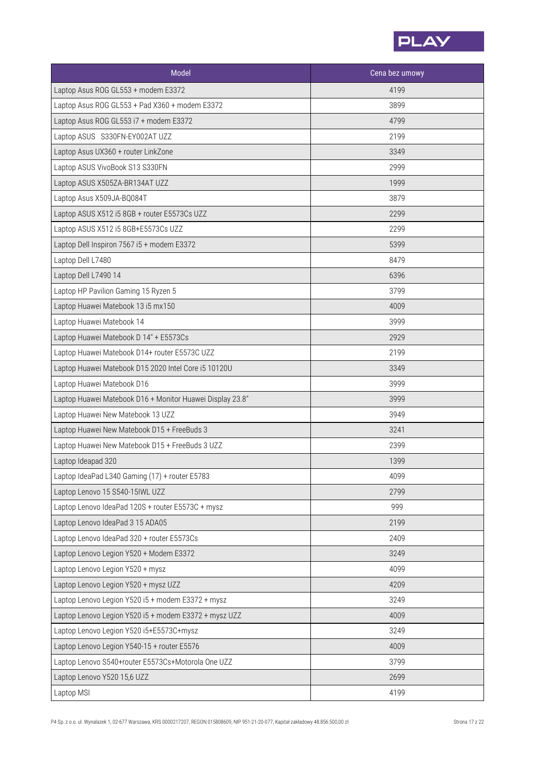

| Model                                                     | Cena bez umowy |
|-----------------------------------------------------------|----------------|
| Laptop Asus ROG GL553 + modem E3372                       | 4199           |
| Laptop Asus ROG GL553 + Pad X360 + modem E3372            | 3899           |
| Laptop Asus ROG GL553 i7 + modem E3372                    | 4799           |
| Laptop ASUS S330FN-EY002AT UZZ                            | 2199           |
| Laptop Asus UX360 + router LinkZone                       | 3349           |
| Laptop ASUS VivoBook S13 S330FN                           | 2999           |
| Laptop ASUS X505ZA-BR134AT UZZ                            | 1999           |
| Laptop Asus X509JA-BQ084T                                 | 3879           |
| Laptop ASUS X512 i5 8GB + router E5573Cs UZZ              | 2299           |
| Laptop ASUS X512 i5 8GB+E5573Cs UZZ                       | 2299           |
| Laptop Dell Inspiron 7567 i5 + modem E3372                | 5399           |
| Laptop Dell L7480                                         | 8479           |
| Laptop Dell L7490 14                                      | 6396           |
| Laptop HP Pavilion Gaming 15 Ryzen 5                      | 3799           |
| Laptop Huawei Matebook 13 i5 mx150                        | 4009           |
| Laptop Huawei Matebook 14                                 | 3999           |
| Laptop Huawei Matebook D 14" + E5573Cs                    | 2929           |
| Laptop Huawei Matebook D14+ router E5573C UZZ             | 2199           |
| Laptop Huawei Matebook D15 2020 Intel Core i5 10120U      | 3349           |
| Laptop Huawei Matebook D16                                | 3999           |
| Laptop Huawei Matebook D16 + Monitor Huawei Display 23.8" | 3999           |
| Laptop Huawei New Matebook 13 UZZ                         | 3949           |
| Laptop Huawei New Matebook D15 + FreeBuds 3               | 3241           |
| Laptop Huawei New Matebook D15 + FreeBuds 3 UZZ           | 2399           |
| Laptop Ideapad 320                                        | 1399           |
| Laptop IdeaPad L340 Gaming (17) + router E5783            | 4099           |
| Laptop Lenovo 15 S540-15IWL UZZ                           | 2799           |
| Laptop Lenovo IdeaPad 120S + router E5573C + mysz         | 999            |
| Laptop Lenovo IdeaPad 3 15 ADA05                          | 2199           |
| Laptop Lenovo IdeaPad 320 + router E5573Cs                | 2409           |
| Laptop Lenovo Legion Y520 + Modem E3372                   | 3249           |
| Laptop Lenovo Legion Y520 + mysz                          | 4099           |
| Laptop Lenovo Legion Y520 + mysz UZZ                      | 4209           |
| Laptop Lenovo Legion Y520 i5 + modem E3372 + mysz         | 3249           |
| Laptop Lenovo Legion Y520 i5 + modem E3372 + mysz UZZ     | 4009           |
| Laptop Lenovo Legion Y520 i5+E5573C+mysz                  | 3249           |
| Laptop Lenovo Legion Y540-15 + router E5576               | 4009           |
| Laptop Lenovo S540+router E5573Cs+Motorola One UZZ        | 3799           |
| Laptop Lenovo Y520 15,6 UZZ                               | 2699           |
| Laptop MSI                                                | 4199           |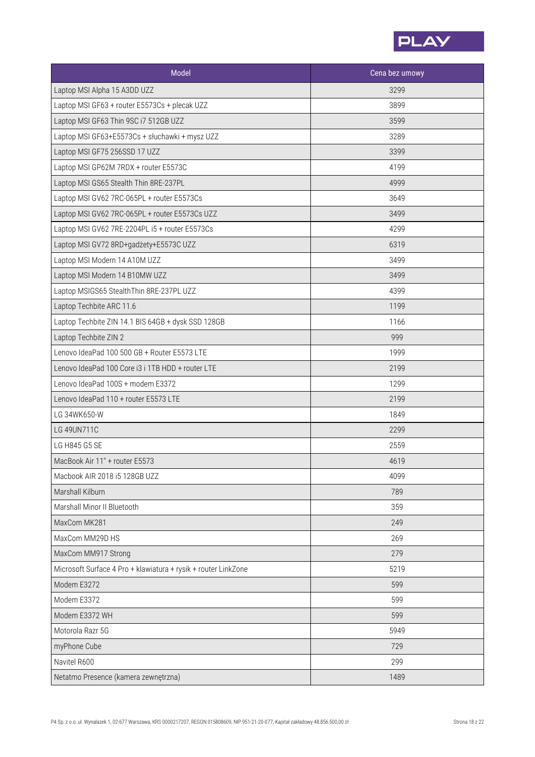

| Model                                                          | Cena bez umowy |
|----------------------------------------------------------------|----------------|
| Laptop MSI Alpha 15 A3DD UZZ                                   | 3299           |
| Laptop MSI GF63 + router E5573Cs + plecak UZZ                  | 3899           |
| Laptop MSI GF63 Thin 9SC i7 512GB UZZ                          | 3599           |
| Laptop MSI GF63+E5573Cs + słuchawki + mysz UZZ                 | 3289           |
| Laptop MSI GF75 256SSD 17 UZZ                                  | 3399           |
| Laptop MSI GP62M 7RDX + router E5573C                          | 4199           |
| Laptop MSI GS65 Stealth Thin 8RE-237PL                         | 4999           |
| Laptop MSI GV62 7RC-065PL + router E5573Cs                     | 3649           |
| Laptop MSI GV62 7RC-065PL + router E5573Cs UZZ                 | 3499           |
| Laptop MSI GV62 7RE-2204PL i5 + router E5573Cs                 | 4299           |
| Laptop MSI GV72 8RD+gadżety+E5573C UZZ                         | 6319           |
| Laptop MSI Modern 14 A10M UZZ                                  | 3499           |
| Laptop MSI Modern 14 B10MW UZZ                                 | 3499           |
| Laptop MSIGS65 StealthThin 8RE-237PL UZZ                       | 4399           |
| Laptop Techbite ARC 11.6                                       | 1199           |
| Laptop Techbite ZIN 14.1 BIS 64GB + dysk SSD 128GB             | 1166           |
| Laptop Techbite ZIN 2                                          | 999            |
| Lenovo IdeaPad 100 500 GB + Router E5573 LTE                   | 1999           |
| Lenovo IdeaPad 100 Core i3 i 1TB HDD + router LTE              | 2199           |
| Lenovo IdeaPad 100S + modem E3372                              | 1299           |
| Lenovo IdeaPad 110 + router E5573 LTE                          | 2199           |
| LG 34WK650-W                                                   | 1849           |
| LG 49UN711C                                                    | 2299           |
| LG H845 G5 SE                                                  | 2559           |
| MacBook Air 11" + router E5573                                 | 4619           |
| Macbook AIR 2018 i5 128GB UZZ                                  | 4099           |
| Marshall Kilburn                                               | 789            |
| Marshall Minor II Bluetooth                                    | 359            |
| MaxCom MK281                                                   | 249            |
| MaxCom MM29D HS                                                | 269            |
| MaxCom MM917 Strong                                            | 279            |
| Microsoft Surface 4 Pro + klawiatura + rysik + router LinkZone | 5219           |
| Modem E3272                                                    | 599            |
| Modem E3372                                                    | 599            |
| Modem E3372 WH                                                 | 599            |
| Motorola Razr 5G                                               | 5949           |
| myPhone Cube                                                   | 729            |
| Navitel R600                                                   | 299            |
| Netatmo Presence (kamera zewnętrzna)                           | 1489           |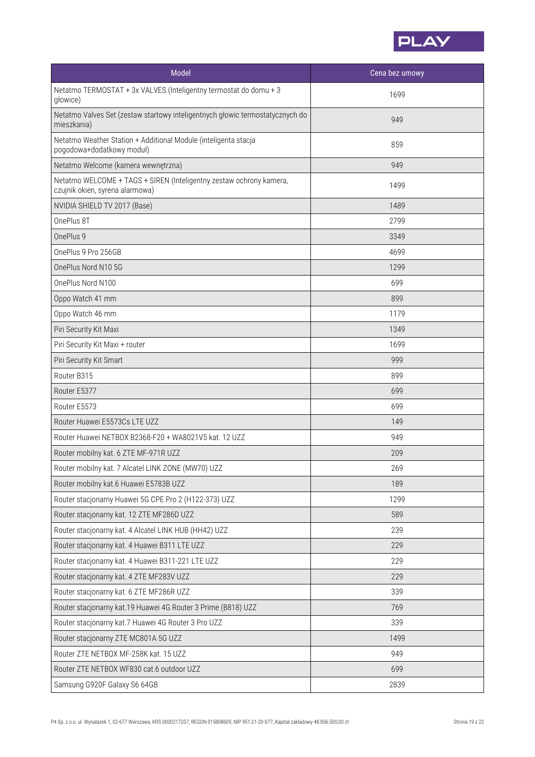

| Model                                                                                                  | Cena bez umowy |
|--------------------------------------------------------------------------------------------------------|----------------|
| Netatmo TERMOSTAT + 3x VALVES (Inteligentny termostat do domu + 3<br>głowice)                          | 1699           |
| Netatmo Valves Set (zestaw startowy inteligentnych głowic termostatycznych do<br>mieszkania)           | 949            |
| Netatmo Weather Station + Additional Module (inteligenta stacja<br>pogodowa+dodatkowy moduł)           | 859            |
| Netatmo Welcome (kamera wewnętrzna)                                                                    | 949            |
| Netatmo WELCOME + TAGS + SIREN (Inteligentny zestaw ochrony kamera,<br>czujnik okien, syrena alarmowa) | 1499           |
| NVIDIA SHIELD TV 2017 (Base)                                                                           | 1489           |
| OnePlus 8T                                                                                             | 2799           |
| OnePlus 9                                                                                              | 3349           |
| OnePlus 9 Pro 256GB                                                                                    | 4699           |
| OnePlus Nord N10 5G                                                                                    | 1299           |
| OnePlus Nord N100                                                                                      | 699            |
| Oppo Watch 41 mm                                                                                       | 899            |
| Oppo Watch 46 mm                                                                                       | 1179           |
| Piri Security Kit Maxi                                                                                 | 1349           |
| Piri Security Kit Maxi + router                                                                        | 1699           |
| Piri Security Kit Smart                                                                                | 999            |
| Router B315                                                                                            | 899            |
| Router E5377                                                                                           | 699            |
| Router E5573                                                                                           | 699            |
| Router Huawei E5573Cs LTE UZZ                                                                          | 149            |
| Router Huawei NETBOX B2368-F20 + WA8021V5 kat. 12 UZZ                                                  | 949            |
| Router mobilny kat. 6 ZTE MF-971R UZZ                                                                  | 209            |
| Router mobilny kat. 7 Alcatel LINK ZONE (MW70) UZZ                                                     | 269            |
| Router mobilny kat.6 Huawei E5783B UZZ                                                                 | 189            |
| Router stacjonarny Huawei 5G CPE Pro 2 (H122-373) UZZ                                                  | 1299           |
| Router stacjonarny kat. 12 ZTE MF286D UZZ                                                              | 589            |
| Router stacjonarny kat. 4 Alcatel LINK HUB (HH42) UZZ                                                  | 239            |
| Router stacjonarny kat. 4 Huawei B311 LTE UZZ                                                          | 229            |
| Router stacjonarny kat. 4 Huawei B311-221 LTE UZZ                                                      | 229            |
| Router stacjonarny kat. 4 ZTE MF283V UZZ                                                               | 229            |
| Router stacjonarny kat. 6 ZTE MF286R UZZ                                                               | 339            |
| Router stacjonarny kat.19 Huawei 4G Router 3 Prime (B818) UZZ                                          | 769            |
| Router stacjonarny kat.7 Huawei 4G Router 3 Pro UZZ                                                    | 339            |
| Router stacjonarny ZTE MC801A 5G UZZ                                                                   | 1499           |
| Router ZTE NETBOX MF-258K kat. 15 UZZ                                                                  | 949            |
| Router ZTE NETBOX WF830 cat.6 outdoor UZZ                                                              | 699            |
| Samsung G920F Galaxy S6 64GB                                                                           | 2839           |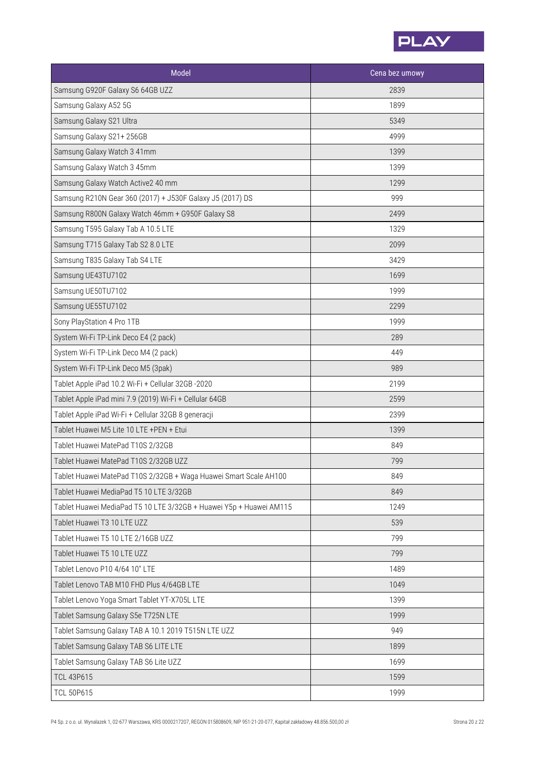

| Model                                                               | Cena bez umowy |
|---------------------------------------------------------------------|----------------|
| Samsung G920F Galaxy S6 64GB UZZ                                    | 2839           |
| Samsung Galaxy A52 5G                                               | 1899           |
| Samsung Galaxy S21 Ultra                                            | 5349           |
| Samsung Galaxy S21+ 256GB                                           | 4999           |
| Samsung Galaxy Watch 3 41mm                                         | 1399           |
| Samsung Galaxy Watch 3 45mm                                         | 1399           |
| Samsung Galaxy Watch Active2 40 mm                                  | 1299           |
| Samsung R210N Gear 360 (2017) + J530F Galaxy J5 (2017) DS           | 999            |
| Samsung R800N Galaxy Watch 46mm + G950F Galaxy S8                   | 2499           |
| Samsung T595 Galaxy Tab A 10.5 LTE                                  | 1329           |
| Samsung T715 Galaxy Tab S2 8.0 LTE                                  | 2099           |
| Samsung T835 Galaxy Tab S4 LTE                                      | 3429           |
| Samsung UE43TU7102                                                  | 1699           |
| Samsung UE50TU7102                                                  | 1999           |
| Samsung UE55TU7102                                                  | 2299           |
| Sony PlayStation 4 Pro 1TB                                          | 1999           |
| System Wi-Fi TP-Link Deco E4 (2 pack)                               | 289            |
| System Wi-Fi TP-Link Deco M4 (2 pack)                               | 449            |
| System Wi-Fi TP-Link Deco M5 (3pak)                                 | 989            |
| Tablet Apple iPad 10.2 Wi-Fi + Cellular 32GB -2020                  | 2199           |
| Tablet Apple iPad mini 7.9 (2019) Wi-Fi + Cellular 64GB             | 2599           |
| Tablet Apple iPad Wi-Fi + Cellular 32GB 8 generacji                 | 2399           |
| Tablet Huawei M5 Lite 10 LTE +PEN + Etui                            | 1399           |
| Tablet Huawei MatePad T10S 2/32GB                                   | 849            |
| Tablet Huawei MatePad T10S 2/32GB UZZ                               | 799            |
| Tablet Huawei MatePad T10S 2/32GB + Waga Huawei Smart Scale AH100   | 849            |
| Tablet Huawei MediaPad T5 10 LTE 3/32GB                             | 849            |
| Tablet Huawei MediaPad T5 10 LTE 3/32GB + Huawei Y5p + Huawei AM115 | 1249           |
| Tablet Huawei T3 10 LTE UZZ                                         | 539            |
| Tablet Huawei T5 10 LTE 2/16GB UZZ                                  | 799            |
| Tablet Huawei T5 10 LTE UZZ                                         | 799            |
| Tablet Lenovo P10 4/64 10" LTE                                      | 1489           |
| Tablet Lenovo TAB M10 FHD Plus 4/64GB LTE                           | 1049           |
| Tablet Lenovo Yoga Smart Tablet YT-X705L LTE                        | 1399           |
| Tablet Samsung Galaxy S5e T725N LTE                                 | 1999           |
| Tablet Samsung Galaxy TAB A 10.1 2019 T515N LTE UZZ                 | 949            |
| Tablet Samsung Galaxy TAB S6 LITE LTE                               | 1899           |
| Tablet Samsung Galaxy TAB S6 Lite UZZ                               | 1699           |
| <b>TCL 43P615</b>                                                   | 1599           |
| <b>TCL 50P615</b>                                                   | 1999           |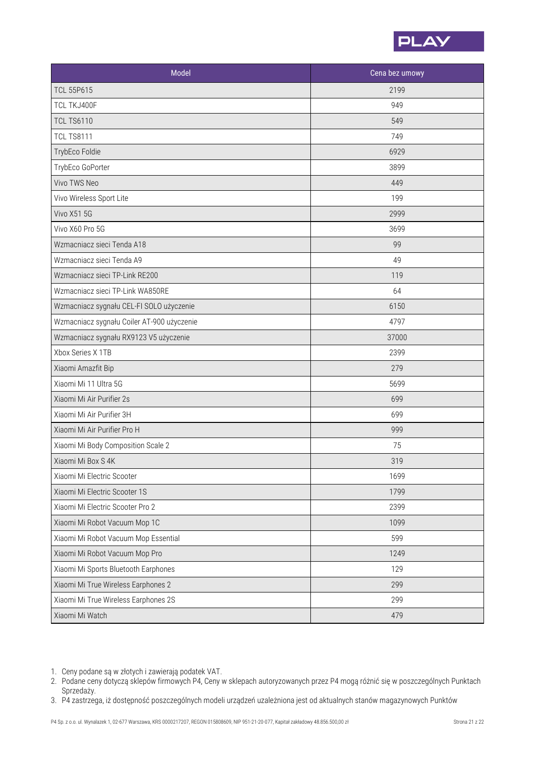

| Model                                      | Cena bez umowy |
|--------------------------------------------|----------------|
| <b>TCL 55P615</b>                          | 2199           |
| TCL TKJ400F                                | 949            |
| <b>TCL TS6110</b>                          | 549            |
| <b>TCL TS8111</b>                          | 749            |
| TrybEco Foldie                             | 6929           |
| TrybEco GoPorter                           | 3899           |
| Vivo TWS Neo                               | 449            |
| Vivo Wireless Sport Lite                   | 199            |
| <b>Vivo X51 5G</b>                         | 2999           |
| Vivo X60 Pro 5G                            | 3699           |
| Wzmacniacz sieci Tenda A18                 | 99             |
| Wzmacniacz sieci Tenda A9                  | 49             |
| Wzmacniacz sieci TP-Link RE200             | 119            |
| Wzmacniacz sieci TP-Link WA850RE           | 64             |
| Wzmacniacz sygnału CEL-FI SOLO użyczenie   | 6150           |
| Wzmacniacz sygnału Coiler AT-900 użyczenie | 4797           |
| Wzmacniacz sygnału RX9123 V5 użyczenie     | 37000          |
| Xbox Series X 1TB                          | 2399           |
| Xiaomi Amazfit Bip                         | 279            |
| Xiaomi Mi 11 Ultra 5G                      | 5699           |
| Xiaomi Mi Air Purifier 2s                  | 699            |
| Xiaomi Mi Air Purifier 3H                  | 699            |
| Xiaomi Mi Air Purifier Pro H               | 999            |
| Xiaomi Mi Body Composition Scale 2         | 75             |
| Xiaomi Mi Box S 4K                         | 319            |
| Xiaomi Mi Electric Scooter                 | 1699           |
| Xiaomi Mi Electric Scooter 1S              | 1799           |
| Xiaomi Mi Electric Scooter Pro 2           | 2399           |
| Xiaomi Mi Robot Vacuum Mop 1C              | 1099           |
| Xiaomi Mi Robot Vacuum Mop Essential       | 599            |
| Xiaomi Mi Robot Vacuum Mop Pro             | 1249           |
| Xiaomi Mi Sports Bluetooth Earphones       | 129            |
| Xiaomi Mi True Wireless Earphones 2        | 299            |
| Xiaomi Mi True Wireless Earphones 2S       | 299            |
| Xiaomi Mi Watch                            | 479            |

- 1. Ceny podane są w złotych i zawierają podatek VAT.
- Podane ceny dotyczą sklepów firmowych P4, Ceny w sklepach autoryzowanych przez P4 mogą różnić się w poszczególnych Punktach 2. Sprzedaży.
- P4 zastrzega, iż dostępność poszczególnych modeli urządzeń uzależniona jestod aktualnych stanów magazynowych Punktów 3.